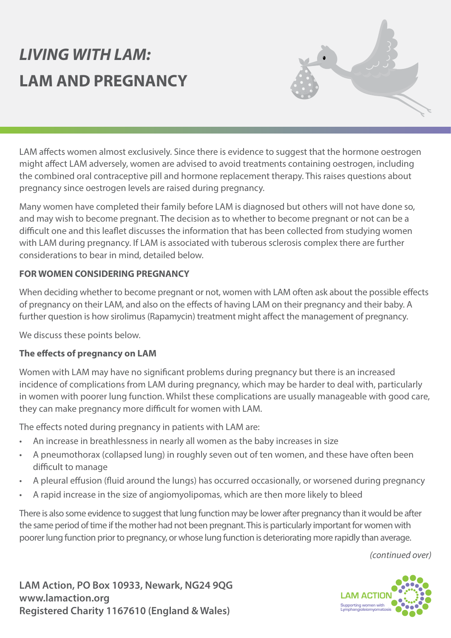# *LIVING WITH LAM:* **LAM AND PREGNANCY**



LAM affects women almost exclusively. Since there is evidence to suggest that the hormone oestrogen might affect LAM adversely, women are advised to avoid treatments containing oestrogen, including the combined oral contraceptive pill and hormone replacement therapy. This raises questions about pregnancy since oestrogen levels are raised during pregnancy.

Many women have completed their family before LAM is diagnosed but others will not have done so, and may wish to become pregnant. The decision as to whether to become pregnant or not can be a difficult one and this leaflet discusses the information that has been collected from studying women with LAM during pregnancy. If LAM is associated with tuberous sclerosis complex there are further considerations to bear in mind, detailed below.

#### **FOR WOMEN CONSIDERING PREGNANCY**

When deciding whether to become pregnant or not, women with LAM often ask about the possible effects of pregnancy on their LAM, and also on the effects of having LAM on their pregnancy and their baby. A further question is how sirolimus (Rapamycin) treatment might affect the management of pregnancy.

We discuss these points below.

#### **The effects of pregnancy on LAM**

Women with LAM may have no significant problems during pregnancy but there is an increased incidence of complications from LAM during pregnancy, which may be harder to deal with, particularly in women with poorer lung function. Whilst these complications are usually manageable with good care, they can make pregnancy more difficult for women with LAM.

The effects noted during pregnancy in patients with LAM are:

- An increase in breathlessness in nearly all women as the baby increases in size
- A pneumothorax (collapsed lung) in roughly seven out of ten women, and these have often been difficult to manage
- A pleural effusion (fluid around the lungs) has occurred occasionally, or worsened during pregnancy
- A rapid increase in the size of angiomyolipomas, which are then more likely to bleed

There is also some evidence to suggest that lung function may be lower after pregnancy than it would be after the same period of time if the mother had not been pregnant. This is particularly important for women with poorer lung function prior to pregnancy, or whose lung function is deteriorating more rapidly than average.

*(continued over)*